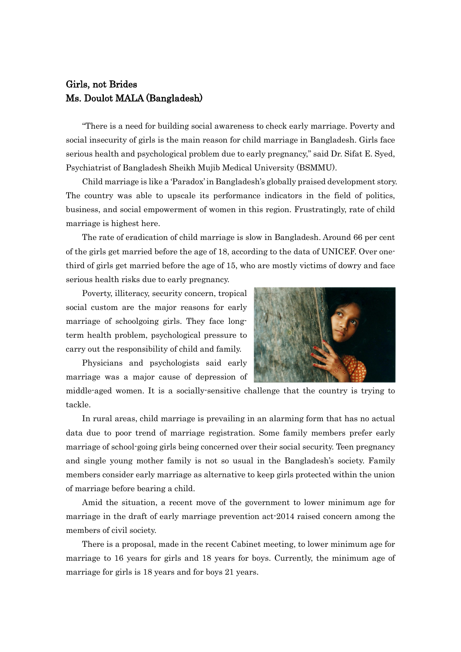## Girls, not Brides Ms. Doulot MALA (Bangladesh)

"There is a need for building social awareness to check early marriage. Poverty and social insecurity of girls is the main reason for child marriage in Bangladesh. Girls face serious health and psychological problem due to early pregnancy," said Dr. Sifat E. Syed, Psychiatrist of Bangladesh Sheikh Mujib Medical University (BSMMU).

Child marriage is like a 'Paradox' in Bangladesh's globally praised development story. The country was able to upscale its performance indicators in the field of politics, business, and social empowerment of women in this region. Frustratingly, rate of child marriage is highest here.

The rate of eradication of child marriage is slow in Bangladesh. Around 66 per cent of the girls get married before the age of 18, according to the data of UNICEF. Over onethird of girls get married before the age of 15, who are mostly victims of dowry and face serious health risks due to early pregnancy.

Poverty, illiteracy, security concern, tropical social custom are the major reasons for early marriage of schoolgoing girls. They face longterm health problem, psychological pressure to carry out the responsibility of child and family.

Physicians and psychologists said early marriage was a major cause of depression of



middle-aged women. It is a socially-sensitive challenge that the country is trying to tackle.

In rural areas, child marriage is prevailing in an alarming form that has no actual data due to poor trend of marriage registration. Some family members prefer early marriage of school-going girls being concerned over their social security. Teen pregnancy and single young mother family is not so usual in the Bangladesh's society. Family members consider early marriage as alternative to keep girls protected within the union of marriage before bearing a child.

Amid the situation, a recent move of the government to lower minimum age for marriage in the draft of early marriage prevention act-2014 raised concern among the members of civil society.

There is a proposal, made in the recent Cabinet meeting, to lower minimum age for marriage to 16 years for girls and 18 years for boys. Currently, the minimum age of marriage for girls is 18 years and for boys 21 years.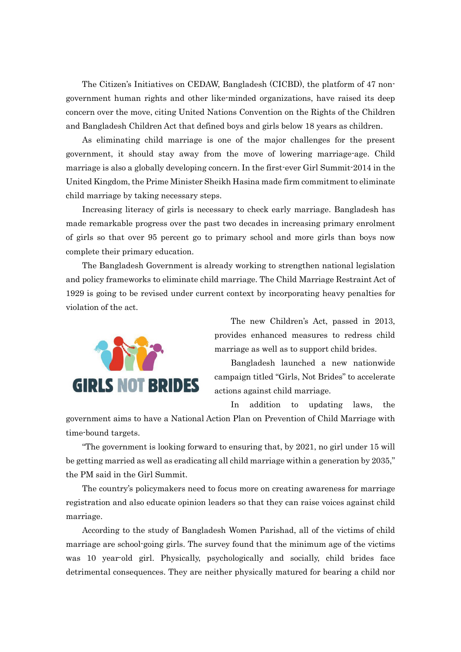The Citizen's Initiatives on CEDAW, Bangladesh (CICBD), the platform of 47 nongovernment human rights and other like-minded organizations, have raised its deep concern over the move, citing United Nations Convention on the Rights of the Children and Bangladesh Children Act that defined boys and girls below 18 years as children.

As eliminating child marriage is one of the major challenges for the present government, it should stay away from the move of lowering marriage-age. Child marriage is also a globally developing concern. In the first-ever Girl Summit-2014 in the United Kingdom, the Prime Minister Sheikh Hasina made firm commitment to eliminate child marriage by taking necessary steps.

Increasing literacy of girls is necessary to check early marriage. Bangladesh has made remarkable progress over the past two decades in increasing primary enrolment of girls so that over 95 percent go to primary school and more girls than boys now complete their primary education.

The Bangladesh Government is already working to strengthen national legislation and policy frameworks to eliminate child marriage. The Child Marriage Restraint Act of 1929 is going to be revised under current context by incorporating heavy penalties for violation of the act.



The new Children's Act, passed in 2013, provides enhanced measures to redress child marriage as well as to support child brides.

Bangladesh launched a new nationwide campaign titled "Girls, Not Brides" to accelerate actions against child marriage.

In addition to updating laws, the

government aims to have a National Action Plan on Prevention of Child Marriage with time-bound targets.

"The government is looking forward to ensuring that, by 2021, no girl under 15 will be getting married as well as eradicating all child marriage within a generation by 2035," the PM said in the Girl Summit.

The country's policymakers need to focus more on creating awareness for marriage registration and also educate opinion leaders so that they can raise voices against child marriage.

According to the study of Bangladesh Women Parishad, all of the victims of child marriage are school-going girls. The survey found that the minimum age of the victims was 10 year-old girl. Physically, psychologically and socially, child brides face detrimental consequences. They are neither physically matured for bearing a child nor